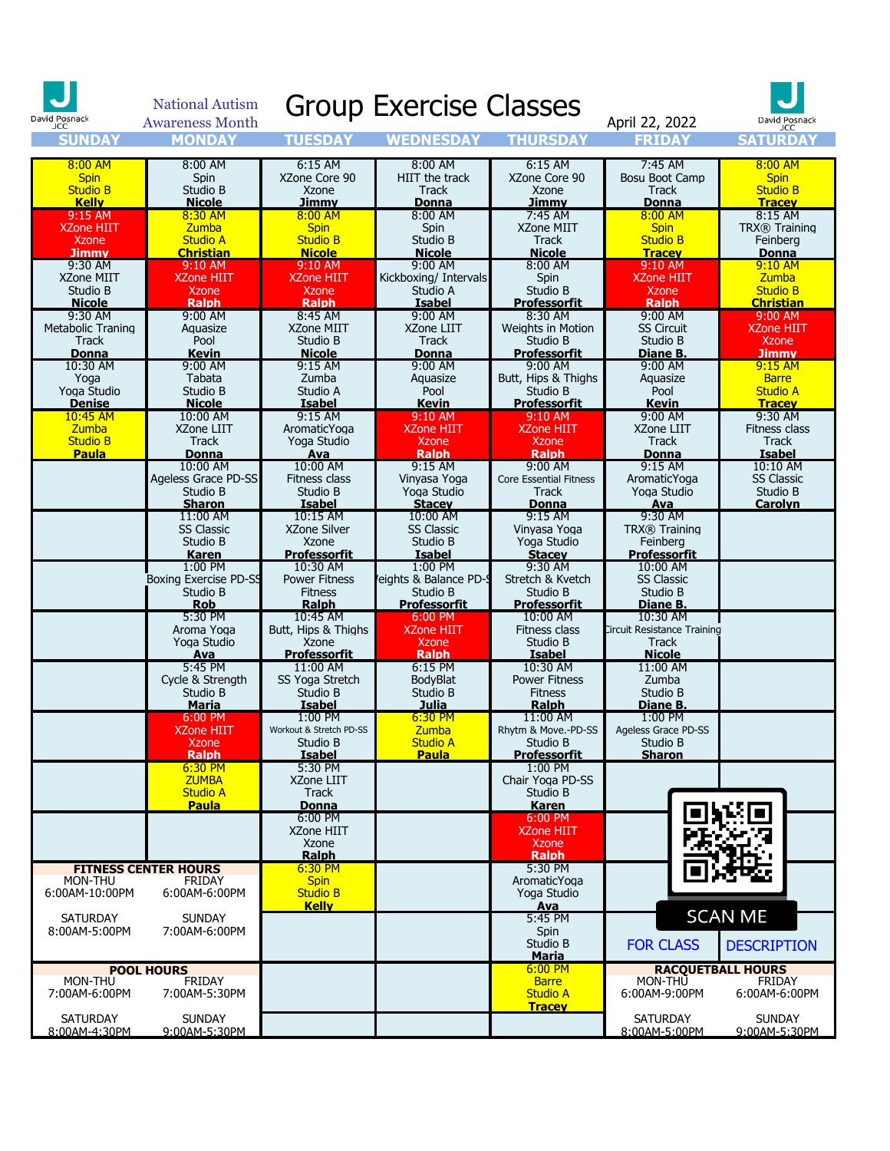| David Posnack<br><b>JCC</b>                                          | <b>National Autism</b><br><b>Awareness Month</b>                    |                                                                     | <b>Group Exercise Classes</b>                                                   |                                                                                        | April 22, 2022                                                                  | David Posnack<br>JCC                                                         |
|----------------------------------------------------------------------|---------------------------------------------------------------------|---------------------------------------------------------------------|---------------------------------------------------------------------------------|----------------------------------------------------------------------------------------|---------------------------------------------------------------------------------|------------------------------------------------------------------------------|
| <b>SUNDA</b>                                                         | <b>MONDAY</b>                                                       | TUESDAY                                                             | WEDNESDAY                                                                       | THURSDA                                                                                | FRIDAY                                                                          | <b>SATURDAY</b>                                                              |
| 8:00 AM<br><b>Spin</b><br><b>Studio B</b><br><b>Kelly</b><br>9:15 AM | 8:00 AM<br>Spin<br>Studio B<br><b>Nicole</b><br>8:30 AM             | $6:15$ AM<br>XZone Core 90<br>Xzone<br>Jimmv<br>$8:00$ AM           | 8:00 AM<br>HIIT the track<br>Track<br>Donna<br>8:00 AM                          | 6:15 AM<br>XZone Core 90<br>Xzone<br><u>Jimmv</u><br>7:45 AM                           | 7:45 AM<br>Bosu Boot Camp<br>Track<br><b>Donna</b><br>$8:00$ AM                 | $8:00$ AM<br><b>Spin</b><br><b>Studio B</b><br><b>Tracev</b><br>8:15 AM      |
| <b>XZone HIIT</b><br><b>Xzone</b><br><b>Jimmy</b><br>9:30 AM         | <b>Zumba</b><br><b>Studio A</b><br><b>Christian</b><br>9:10 AM      | <b>Spin</b><br><b>Studio B</b><br><b>Nicole</b><br>9:10 AM          | Spin<br>Studio B<br><b>Nicole</b><br>9:00 AM                                    | XZone MIIT<br>Track<br><b>Nicole</b><br>8:00 AM                                        | <b>Spin</b><br><b>Studio B</b><br><b>Tracev</b><br>9:10 AM                      | TRX® Training<br>Feinberg<br><b>Donna</b><br>$9:10$ AM                       |
| XZone MIIT<br>Studio B<br><b>Nicole</b><br>9:30 AM                   | <b>XZone HIIT</b><br><b>Xzone</b><br><b>Ralph</b><br>9:00 AM        | <b>XZone HIIT</b><br><b>Xzone</b><br><b>Ralph</b><br>8:45 AM        | Kickboxing/ Intervals<br>Studio A<br><b>Isabel</b><br>9:00 AM                   | Spin<br>Studio B<br><b>Professorfit</b><br>8:30 AM                                     | <b>XZone HIIT</b><br><b>Xzone</b><br><b>Ralph</b><br>9:00 AM                    | <b>Zumba</b><br><b>Studio B</b><br><b>Christian</b><br>9:00 AM               |
| Metabolic Traning<br>Track<br><b>Donna</b><br>10:30 AM               | Aquasize<br>Pool<br>Kevin<br>9:00 AM                                | XZone MIIT<br>Studio B<br><b>Nicole</b><br>9:15 AM                  | XZone LIIT<br>Track<br><b>Donna</b><br>9:00 AM                                  | Weights in Motion<br>Studio B<br><b>Professorfit</b><br>9:00 AM                        | <b>SS Circuit</b><br>Studio B<br>Diane B.<br>9:00 AM                            | <b>XZone HIIT</b><br>Xzone<br><b>Jimmy</b><br>9:15 AM                        |
| Yoga<br>Yoga Studio<br><b>Denise</b><br>10:45 AM<br>Zumba            | Tabata<br>Studio B<br><b>Nicole</b><br>10:00 AM<br>XZone LIIT       | Zumba<br>Studio A<br><b>Isabel</b><br>9:15 AM<br>AromaticYoga       | Aguasize<br>Pool<br><b>Kevin</b><br>9:10 AM<br>XZone HIIT                       | Butt, Hips & Thighs<br>Studio B<br><b>Professorfit</b><br>9:10 AM<br><b>XZone HIIT</b> | Aguasize<br>Pool<br><b>Kevin</b><br>9:00 AM<br>XZone LIIT                       | <b>Barre</b><br><b>Studio A</b><br><b>Tracev</b><br>9:30 AM<br>Fitness class |
| <b>Studio B</b><br><b>Paula</b>                                      | Track<br><b>Donna</b><br>10:00 AM<br>Ageless Grace PD-SS            | Yoga Studio<br>Ava<br>10:00 AM<br>Fitness class                     | <b>Xzone</b><br><b>Ralph</b><br>$9:15$ AM<br>Vinyasa Yoga                       | <b>Xzone</b><br><b>Ralph</b><br>9:00 AM<br><b>Core Essential Fitness</b>               | <b>Track</b><br>Donna<br>$9:15$ AM<br>AromaticYoga                              | Track<br><b>Isabel</b><br>10:10 AM<br><b>SS Classic</b>                      |
|                                                                      | Studio B<br><b>Sharon</b><br>11:00 AM<br><b>SS Classic</b>          | Studio B<br><b>Isabel</b><br>10:15 AM<br><b>XZone Silver</b>        | Yoga Studio<br><b>Stacev</b><br>10:00 AM<br><b>SS Classic</b>                   | Track<br><b>Donna</b><br>9:15 AM<br>Vinyasa Yoga                                       | Yoga Studio<br>Ava<br>9:30 AM<br>TRX® Training                                  | Studio B<br><b>Carolyn</b>                                                   |
|                                                                      | Studio B<br><b>Karen</b><br>1:00 PM<br><b>Boxing Exercise PD-SS</b> | Xzone<br><b>Professorfit</b><br>10:30 AM<br><b>Power Fitness</b>    | Studio B<br><b>Isabel</b><br>1:00 PM<br>eights & Balance PD-                    | Yoga Studio<br><b>Stacey</b><br>9:30 AM<br>Stretch & Kvetch                            | Feinberg<br><b>Professorfit</b><br>10:00 AM<br><b>SS Classic</b>                |                                                                              |
|                                                                      | Studio B<br><b>Rob</b><br>5:30 PM<br>Aroma Yoga<br>Yoga Studio      | <b>Fitness</b><br>Ralph<br>10:45 AM<br>Butt, Hips & Thighs<br>Xzone | Studio B<br><b>Professorfit</b><br>6:00 PM<br><b>XZone HIIT</b><br><b>Xzone</b> | Studio B<br><b>Professorfit</b><br>10:00 AM<br>Fitness class<br>Studio B               | Studio B<br>Diane B.<br>10:30 AM<br>Circuit Resistance Training<br><b>Track</b> |                                                                              |
|                                                                      | Ava<br>5:45 PM<br>Cycle & Strength<br>Studio B<br>Maria             | Professorfit<br>11:00 AM<br>SS Yoga Stretch<br>Studio B<br>Isabel   | Ralph<br>6:15 PM<br>BodyBlat<br>Studio B<br>Julia                               | <b>Isabel</b><br>10:30 AM<br><b>Power Fitness</b><br><b>Fitness</b><br><b>Ralph</b>    | <b>Nicole</b><br>11:00 AM<br>Zumba<br>Studio B<br>Diane B.                      |                                                                              |
|                                                                      | 6:00 PM<br><b>XZone HIIT</b><br><b>Xzone</b><br><b>Ralph</b>        | 1:00 PM<br>Workout & Stretch PD-SS<br>Studio B<br><b>Isabel</b>     | $6:30$ PM<br>Zumba<br>Studio A<br><b>Paula</b>                                  | 11:00 AM<br>Rhytm & Move.-PD-SS<br>Studio B<br><b>Professorfit</b>                     | 1:00 PM<br>Ageless Grace PD-SS<br>Studio B<br><b>Sharon</b>                     |                                                                              |
|                                                                      | 6:30 PM<br><b>7UMBA</b><br><b>Studio A</b><br><b>Paula</b>          | 5:30 PM<br>XZone LIIT<br><b>Track</b><br><b>Donna</b>               |                                                                                 | $1:00$ PM<br>Chair Yoga PD-SS<br>Studio B<br><b>Karen</b>                              |                                                                                 |                                                                              |
|                                                                      |                                                                     | 6:00 PM<br>XZone HIIT<br>Xzone<br><b>Ralph</b>                      |                                                                                 | 6:00 PM<br><b>XZone HIIT</b><br><b>Xzone</b><br><b>Ralph</b><br>5:30 PM                |                                                                                 |                                                                              |
| MON-THU<br>6:00AM-10:00PM                                            | <b>FITNESS CENTER HOURS</b><br><b>FRIDAY</b><br>6:00AM-6:00PM       | $6:30$ PM<br>Spin<br><b>Studio B</b><br><b>Kelly</b>                |                                                                                 | AromaticYoga<br>Yoga Studio<br>Ava                                                     |                                                                                 | <b>SCAN ME</b>                                                               |
| <b>SATURDAY</b><br>8:00AM-5:00PM                                     | <b>SUNDAY</b><br>7:00AM-6:00PM                                      |                                                                     |                                                                                 | 5:45 PM<br>Spin<br>Studio B<br><b>Maria</b>                                            | <b>FOR CLASS</b>                                                                | <b>DESCRIPTION</b>                                                           |
| MON-THU<br>7:00AM-6:00PM                                             | <b>POOL HOURS</b><br><b>FRIDAY</b><br>7:00AM-5:30PM                 |                                                                     |                                                                                 | $6:00$ PM<br><b>Barre</b><br><b>Studio A</b><br><b>Tracev</b>                          | <b>RACQUETBALL HOURS</b><br>MON-THU<br>6:00AM-9:00PM                            | <b>FRIDAY</b><br>6:00AM-6:00PM                                               |
| <b>SATURDAY</b><br>8:00AM-4:30PM                                     | <b>SUNDAY</b><br>9:00AM-5:30PM                                      |                                                                     |                                                                                 |                                                                                        | <b>SATURDAY</b><br>8:00AM-5:00PM                                                | <b>SUNDAY</b><br>9:00AM-5:30PM                                               |